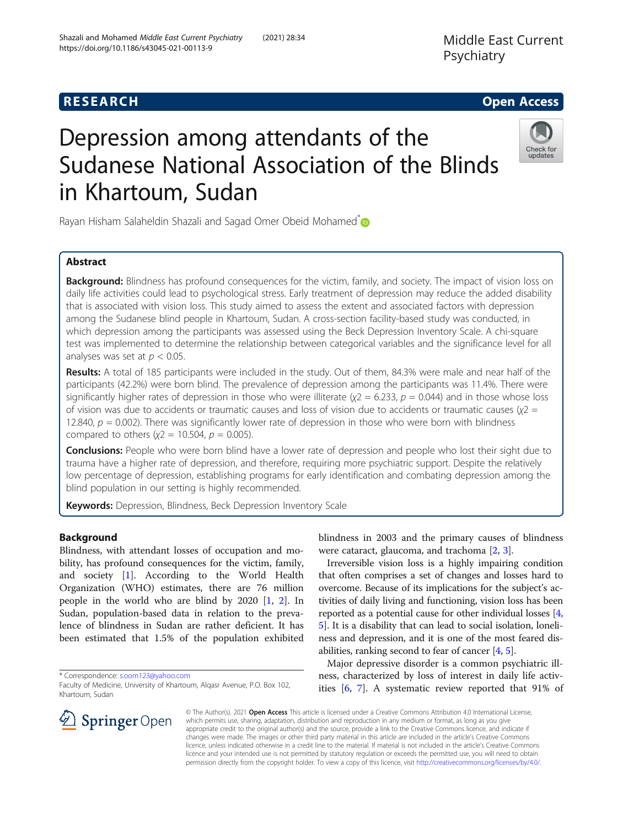Middle East Current Psychiatry

# **RESEARCH CHE Open Access**

# Depression among attendants of the Sudanese National Association of the Blinds in Khartoum, Sudan



Rayan Hisham Salaheldin Shazali and Sagad Omer Obeid Mohamed<sup>\*</sup>

# Abstract

Background: Blindness has profound consequences for the victim, family, and society. The impact of vision loss on daily life activities could lead to psychological stress. Early treatment of depression may reduce the added disability that is associated with vision loss. This study aimed to assess the extent and associated factors with depression among the Sudanese blind people in Khartoum, Sudan. A cross-section facility-based study was conducted, in which depression among the participants was assessed using the Beck Depression Inventory Scale. A chi-square test was implemented to determine the relationship between categorical variables and the significance level for all analyses was set at  $p < 0.05$ .

Results: A total of 185 participants were included in the study. Out of them, 84.3% were male and near half of the participants (42.2%) were born blind. The prevalence of depression among the participants was 11.4%. There were significantly higher rates of depression in those who were illiterate  $(\chi^2 = 6.233, p = 0.044)$  and in those whose loss of vision was due to accidents or traumatic causes and loss of vision due to accidents or traumatic causes ( $χ2 =$ 12.840,  $p = 0.002$ ). There was significantly lower rate of depression in those who were born with blindness compared to others ( $x^2 = 10.504$ ,  $p = 0.005$ ).

Conclusions: People who were born blind have a lower rate of depression and people who lost their sight due to trauma have a higher rate of depression, and therefore, requiring more psychiatric support. Despite the relatively low percentage of depression, establishing programs for early identification and combating depression among the blind population in our setting is highly recommended.

Keywords: Depression, Blindness, Beck Depression Inventory Scale

## Background

Blindness, with attendant losses of occupation and mobility, has profound consequences for the victim, family, and society [[1\]](#page-3-0). According to the World Health Organization (WHO) estimates, there are 76 million people in the world who are blind by 2020 [[1,](#page-3-0) [2\]](#page-3-0). In Sudan, population-based data in relation to the prevalence of blindness in Sudan are rather deficient. It has been estimated that 1.5% of the population exhibited

\* Correspondence: [s.oom123@yahoo.com](mailto:s.oom123@yahoo.com)

SpringerOpen



Irreversible vision loss is a highly impairing condition that often comprises a set of changes and losses hard to overcome. Because of its implications for the subject's activities of daily living and functioning, vision loss has been reported as a potential cause for other individual losses [[4](#page-3-0), [5\]](#page-3-0). It is a disability that can lead to social isolation, loneliness and depression, and it is one of the most feared disabilities, ranking second to fear of cancer [[4,](#page-3-0) [5](#page-3-0)].

Major depressive disorder is a common psychiatric illness, characterized by loss of interest in daily life activities [\[6](#page-3-0), [7\]](#page-3-0). A systematic review reported that 91% of



Faculty of Medicine, University of Khartoum, Alqasr Avenue, P.O. Box 102, Khartoum, Sudan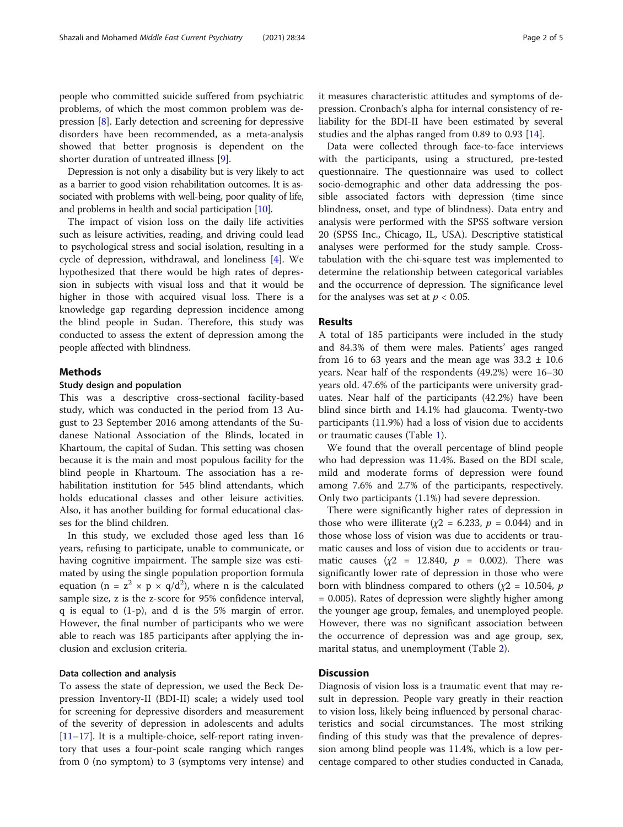people who committed suicide suffered from psychiatric problems, of which the most common problem was depression [[8\]](#page-3-0). Early detection and screening for depressive disorders have been recommended, as a meta-analysis showed that better prognosis is dependent on the shorter duration of untreated illness [[9\]](#page-3-0).

Depression is not only a disability but is very likely to act as a barrier to good vision rehabilitation outcomes. It is associated with problems with well-being, poor quality of life, and problems in health and social participation [\[10\]](#page-3-0).

The impact of vision loss on the daily life activities such as leisure activities, reading, and driving could lead to psychological stress and social isolation, resulting in a cycle of depression, withdrawal, and loneliness [[4\]](#page-3-0). We hypothesized that there would be high rates of depression in subjects with visual loss and that it would be higher in those with acquired visual loss. There is a knowledge gap regarding depression incidence among the blind people in Sudan. Therefore, this study was conducted to assess the extent of depression among the people affected with blindness.

## Methods

## Study design and population

This was a descriptive cross-sectional facility-based study, which was conducted in the period from 13 August to 23 September 2016 among attendants of the Sudanese National Association of the Blinds, located in Khartoum, the capital of Sudan. This setting was chosen because it is the main and most populous facility for the blind people in Khartoum. The association has a rehabilitation institution for 545 blind attendants, which holds educational classes and other leisure activities. Also, it has another building for formal educational classes for the blind children.

In this study, we excluded those aged less than 16 years, refusing to participate, unable to communicate, or having cognitive impairment. The sample size was estimated by using the single population proportion formula equation (n =  $z^2 \times p \times q/d^2$ ), where n is the calculated sample size, z is the z-score for 95% confidence interval, q is equal to (1-p), and d is the 5% margin of error. However, the final number of participants who we were able to reach was 185 participants after applying the inclusion and exclusion criteria.

## Data collection and analysis

To assess the state of depression, we used the Beck Depression Inventory-II (BDI-II) scale; a widely used tool for screening for depressive disorders and measurement of the severity of depression in adolescents and adults  $[11–17]$  $[11–17]$  $[11–17]$  $[11–17]$  $[11–17]$ . It is a multiple-choice, self-report rating inventory that uses a four-point scale ranging which ranges from 0 (no symptom) to 3 (symptoms very intense) and it measures characteristic attitudes and symptoms of depression. Cronbach's alpha for internal consistency of reliability for the BDI-II have been estimated by several studies and the alphas ranged from 0.89 to 0.93 [[14\]](#page-4-0).

Data were collected through face-to-face interviews with the participants, using a structured, pre-tested questionnaire. The questionnaire was used to collect socio-demographic and other data addressing the possible associated factors with depression (time since blindness, onset, and type of blindness). Data entry and analysis were performed with the SPSS software version 20 (SPSS Inc., Chicago, IL, USA). Descriptive statistical analyses were performed for the study sample. Crosstabulation with the chi-square test was implemented to determine the relationship between categorical variables and the occurrence of depression. The significance level for the analyses was set at  $p < 0.05$ .

#### Results

A total of 185 participants were included in the study and 84.3% of them were males. Patients' ages ranged from 16 to 63 years and the mean age was  $33.2 \pm 10.6$ years. Near half of the respondents (49.2%) were 16–30 years old. 47.6% of the participants were university graduates. Near half of the participants (42.2%) have been blind since birth and 14.1% had glaucoma. Twenty-two participants (11.9%) had a loss of vision due to accidents or traumatic causes (Table [1\)](#page-2-0).

We found that the overall percentage of blind people who had depression was 11.4%. Based on the BDI scale, mild and moderate forms of depression were found among 7.6% and 2.7% of the participants, respectively. Only two participants (1.1%) had severe depression.

There were significantly higher rates of depression in those who were illiterate ( $\chi$ 2 = 6.233,  $p$  = 0.044) and in those whose loss of vision was due to accidents or traumatic causes and loss of vision due to accidents or traumatic causes ( $\chi$ 2 = 12.840,  $p$  = 0.002). There was significantly lower rate of depression in those who were born with blindness compared to others ( $\chi$ 2 = 10.504, *p* = 0.005). Rates of depression were slightly higher among the younger age group, females, and unemployed people. However, there was no significant association between the occurrence of depression was and age group, sex, marital status, and unemployment (Table [2](#page-2-0)).

## **Discussion**

Diagnosis of vision loss is a traumatic event that may result in depression. People vary greatly in their reaction to vision loss, likely being influenced by personal characteristics and social circumstances. The most striking finding of this study was that the prevalence of depression among blind people was 11.4%, which is a low percentage compared to other studies conducted in Canada,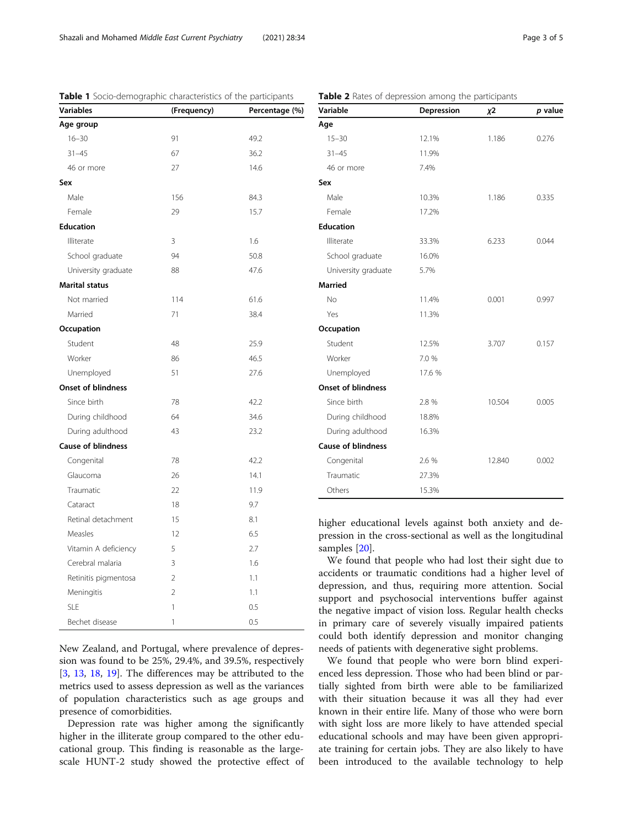| <b>Variables</b>          | (Frequency)    | Percentage (%) |  |
|---------------------------|----------------|----------------|--|
| Age group                 |                |                |  |
| $16 - 30$                 | 91             | 49.2           |  |
| $31 - 45$                 | 67             | 36.2           |  |
| 46 or more                | 27             | 14.6           |  |
| Sex                       |                |                |  |
| Male                      | 156            | 84.3           |  |
| Female                    | 29             | 15.7           |  |
| <b>Education</b>          |                |                |  |
| Illiterate                | 3              | 1.6            |  |
| School graduate           | 94             | 50.8           |  |
| University graduate       | 88             | 47.6           |  |
| <b>Marital status</b>     |                |                |  |
| Not married               | 114            | 61.6           |  |
| Married                   | 71             | 38.4           |  |
| Occupation                |                |                |  |
| Student                   | 48             | 25.9           |  |
| Worker                    | 86             | 46.5           |  |
| Unemployed                | 51             | 27.6           |  |
| <b>Onset of blindness</b> |                |                |  |
| Since birth               | 78             | 42.2           |  |
| During childhood          | 64             | 34.6           |  |
| During adulthood          | 43             | 23.2           |  |
| <b>Cause of blindness</b> |                |                |  |
| Congenital                | 78             | 42.2           |  |
| Glaucoma                  | 26             | 14.1           |  |
| Traumatic                 | 22             | 11.9           |  |
| Cataract                  | 18             | 9.7            |  |
| Retinal detachment        | 15             | 8.1            |  |
| Measles                   | 12             | 6.5            |  |
| Vitamin A deficiency      | 5              | 2.7            |  |
| Cerebral malaria          | 3              | 1.6            |  |
| Retinitis pigmentosa      | $\overline{2}$ | 1.1            |  |
| Meningitis                | $\overline{2}$ | 1.1            |  |
| <b>SLE</b>                | 1              | 0.5            |  |
| Bechet disease            | 1              | 0.5            |  |

<span id="page-2-0"></span>Table 1 Socio-demographic characteristics of the participants

New Zealand, and Portugal, where prevalence of depression was found to be 25%, 29.4%, and 39.5%, respectively [[3,](#page-3-0) [13](#page-3-0), [18,](#page-4-0) [19\]](#page-4-0). The differences may be attributed to the metrics used to assess depression as well as the variances of population characteristics such as age groups and presence of comorbidities.

Depression rate was higher among the significantly higher in the illiterate group compared to the other educational group. This finding is reasonable as the largescale HUNT-2 study showed the protective effect of

| Variable                  | Depression | χ2     | p value |
|---------------------------|------------|--------|---------|
| Age                       |            |        |         |
| $15 - 30$                 | 12.1%      | 1.186  | 0.276   |
| $31 - 45$                 | 11.9%      |        |         |
| 46 or more                | 7.4%       |        |         |
| Sex                       |            |        |         |
| Male                      | 10.3%      | 1.186  | 0.335   |
| Female                    | 17.2%      |        |         |
| <b>Education</b>          |            |        |         |
| Illiterate                | 33.3%      | 6.233  | 0.044   |
| School graduate           | 16.0%      |        |         |
| University graduate       | 5.7%       |        |         |
| <b>Married</b>            |            |        |         |
| No                        | 11.4%      | 0.001  | 0.997   |
| Yes                       | 11.3%      |        |         |
| Occupation                |            |        |         |
| Student                   | 12.5%      | 3.707  | 0.157   |
| Worker                    | 7.0 %      |        |         |
| Unemployed                | 17.6 %     |        |         |
| <b>Onset of blindness</b> |            |        |         |
| Since birth               | 2.8 %      | 10.504 | 0.005   |
| During childhood          | 18.8%      |        |         |
| During adulthood          | 16.3%      |        |         |
| <b>Cause of blindness</b> |            |        |         |
| Congenital                | 2.6 %      | 12.840 | 0.002   |
| Traumatic                 | 27.3%      |        |         |
| Others                    | 15.3%      |        |         |

Table 2 Rates of depression among the participants

higher educational levels against both anxiety and depression in the cross-sectional as well as the longitudinal samples [\[20\]](#page-4-0).

We found that people who had lost their sight due to accidents or traumatic conditions had a higher level of depression, and thus, requiring more attention. Social support and psychosocial interventions buffer against the negative impact of vision loss. Regular health checks in primary care of severely visually impaired patients could both identify depression and monitor changing needs of patients with degenerative sight problems.

We found that people who were born blind experienced less depression. Those who had been blind or partially sighted from birth were able to be familiarized with their situation because it was all they had ever known in their entire life. Many of those who were born with sight loss are more likely to have attended special educational schools and may have been given appropriate training for certain jobs. They are also likely to have been introduced to the available technology to help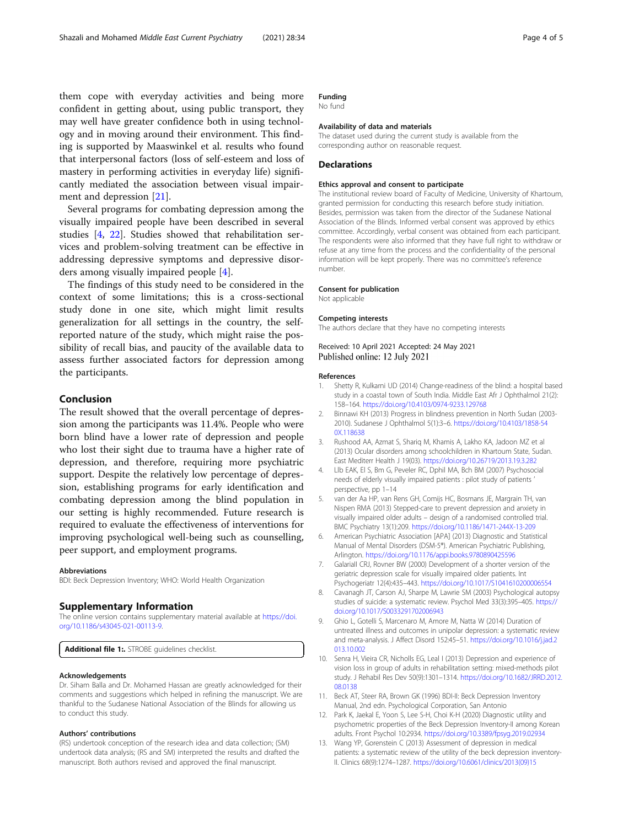<span id="page-3-0"></span>them cope with everyday activities and being more confident in getting about, using public transport, they may well have greater confidence both in using technology and in moving around their environment. This finding is supported by Maaswinkel et al. results who found that interpersonal factors (loss of self-esteem and loss of mastery in performing activities in everyday life) significantly mediated the association between visual impairment and depression [\[21](#page-4-0)].

Several programs for combating depression among the visually impaired people have been described in several studies [4, [22\]](#page-4-0). Studies showed that rehabilitation services and problem-solving treatment can be effective in addressing depressive symptoms and depressive disorders among visually impaired people [4].

The findings of this study need to be considered in the context of some limitations; this is a cross-sectional study done in one site, which might limit results generalization for all settings in the country, the selfreported nature of the study, which might raise the possibility of recall bias, and paucity of the available data to assess further associated factors for depression among the participants.

## Conclusion

The result showed that the overall percentage of depression among the participants was 11.4%. People who were born blind have a lower rate of depression and people who lost their sight due to trauma have a higher rate of depression, and therefore, requiring more psychiatric support. Despite the relatively low percentage of depression, establishing programs for early identification and combating depression among the blind population in our setting is highly recommended. Future research is required to evaluate the effectiveness of interventions for improving psychological well-being such as counselling, peer support, and employment programs.

#### Abbreviations

BDI: Beck Depression Inventory; WHO: World Health Organization

#### Supplementary Information

The online version contains supplementary material available at [https://doi.](https://doi.org/10.1186/s43045-021-00113-9) [org/10.1186/s43045-021-00113-9.](https://doi.org/10.1186/s43045-021-00113-9)

Additional file 1:. STROBE guidelines checklist.

#### Acknowledgements

Dr. Siham Balla and Dr. Mohamed Hassan are greatly acknowledged for their comments and suggestions which helped in refining the manuscript. We are thankful to the Sudanese National Association of the Blinds for allowing us to conduct this study.

#### Authors' contributions

(RS) undertook conception of the research idea and data collection; (SM) undertook data analysis; (RS and SM) interpreted the results and drafted the manuscript. Both authors revised and approved the final manuscript.

## Funding

No fund

#### Availability of data and materials

The dataset used during the current study is available from the corresponding author on reasonable request.

### **Declarations**

#### Ethics approval and consent to participate

The institutional review board of Faculty of Medicine, University of Khartoum, granted permission for conducting this research before study initiation. Besides, permission was taken from the director of the Sudanese National Association of the Blinds. Informed verbal consent was approved by ethics committee. Accordingly, verbal consent was obtained from each participant. The respondents were also informed that they have full right to withdraw or refuse at any time from the process and the confidentiality of the personal information will be kept properly. There was no committee's reference number.

#### Consent for publication

Not applicable

#### Competing interests

The authors declare that they have no competing interests

Received: 10 April 2021 Accepted: 24 May 2021 Published online: 12 July 2021

#### References

- Shetty R, Kulkarni UD (2014) Change-readiness of the blind: a hospital based study in a coastal town of South India. Middle East Afr J Ophthalmol 21(2): 158–164. <https://doi.org/10.4103/0974-9233.129768>
- 2. Binnawi KH (2013) Progress in blindness prevention in North Sudan (2003- 2010). Sudanese J Ophthalmol 5(1):3–6. [https://doi.org/10.4103/1858-54](https://doi.org/10.4103/1858-540X.118638) [0X.118638](https://doi.org/10.4103/1858-540X.118638)
- 3. Rushood AA, Azmat S, Shariq M, Khamis A, Lakho KA, Jadoon MZ et al (2013) Ocular disorders among schoolchildren in Khartoum State, Sudan. East Mediterr Health J 19(03). <https://doi.org/10.26719/2013.19.3.282>
- 4. Llb EAK, El S, Bm G, Peveler RC, Dphil MA, Bch BM (2007) Psychosocial needs of elderly visually impaired patients : pilot study of patients ' perspective, pp 1–14
- 5. van der Aa HP, van Rens GH, Comijs HC, Bosmans JE, Margrain TH, van Nispen RMA (2013) Stepped-care to prevent depression and anxiety in visually impaired older adults – design of a randomised controlled trial. BMC Psychiatry 13(1):209. <https://doi.org/10.1186/1471-244X-13-209>
- 6. American Psychiatric Association [APA] (2013) Diagnostic and Statistical Manual of Mental Disorders (DSM-5®). American Psychiatric Publishing, Arlington. <https://doi.org/10.1176/appi.books.9780890425596>
- 7. GalariaII CRJ, Rovner BW (2000) Development of a shorter version of the geriatric depression scale for visually impaired older patients. Int Psychogeriatr 12(4):435–443. <https://doi.org/10.1017/S1041610200006554>
- 8. Cavanagh JT, Carson AJ, Sharpe M, Lawrie SM (2003) Psychological autopsy studies of suicide: a systematic review. Psychol Med 33(3):395–405. [https://](https://doi.org/10.1017/S0033291702006943) [doi.org/10.1017/S0033291702006943](https://doi.org/10.1017/S0033291702006943)
- 9. Ghio L, Gotelli S, Marcenaro M, Amore M, Natta W (2014) Duration of untreated illness and outcomes in unipolar depression: a systematic review and meta-analysis. J Affect Disord 152:45–51. [https://doi.org/10.1016/j.jad.2](https://doi.org/10.1016/j.jad.2013.10.002) [013.10.002](https://doi.org/10.1016/j.jad.2013.10.002)
- 10. Senra H, Vieira CR, Nicholls EG, Leal I (2013) Depression and experience of vision loss in group of adults in rehabilitation setting: mixed-methods pilot study. J Rehabil Res Dev 50(9):1301–1314. [https://doi.org/10.1682/JRRD.2012.](https://doi.org/10.1682/JRRD.2012.08.0138) [08.0138](https://doi.org/10.1682/JRRD.2012.08.0138)
- 11. Beck AT, Steer RA, Brown GK (1996) BDI-II: Beck Depression Inventory Manual, 2nd edn. Psychological Corporation, San Antonio
- 12. Park K, Jaekal E, Yoon S, Lee S-H, Choi K-H (2020) Diagnostic utility and psychometric properties of the Beck Depression Inventory-II among Korean adults. Front Psychol 10:2934. <https://doi.org/10.3389/fpsyg.2019.02934>
- 13. Wang YP, Gorenstein C (2013) Assessment of depression in medical patients: a systematic review of the utility of the beck depression inventory-II. Clinics 68(9):1274–1287. [https://doi.org/10.6061/clinics/2013\(09\)15](https://doi.org/10.6061/clinics/2013(09)15)